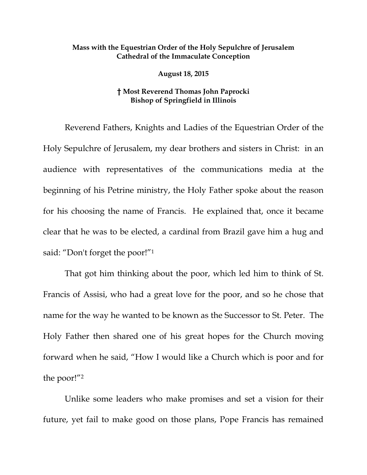## **Mass with the Equestrian Order of the Holy Sepulchre of Jerusalem Cathedral of the Immaculate Conception**

**August 18, 2015** 

## **† Most Reverend Thomas John Paprocki Bishop of Springfield in Illinois**

Reverend Fathers, Knights and Ladies of the Equestrian Order of the Holy Sepulchre of Jerusalem, my dear brothers and sisters in Christ: in an audience with representatives of the communications media at the beginning of his Petrine ministry, the Holy Father spoke about the reason for his choosing the name of Francis. He explained that, once it became clear that he was to be elected, a cardinal from Brazil gave him a hug and said: "Don't forget the poor!"1

That got him thinking about the poor, which led him to think of St. Francis of Assisi, who had a great love for the poor, and so he chose that name for the way he wanted to be known as the Successor to St. Peter. The Holy Father then shared one of his great hopes for the Church moving forward when he said, "How I would like a Church which is poor and for the poor!"2

Unlike some leaders who make promises and set a vision for their future, yet fail to make good on those plans, Pope Francis has remained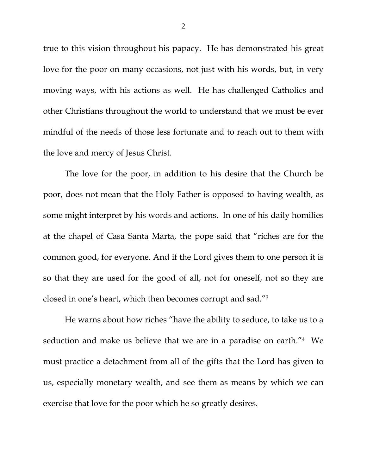true to this vision throughout his papacy. He has demonstrated his great love for the poor on many occasions, not just with his words, but, in very moving ways, with his actions as well. He has challenged Catholics and other Christians throughout the world to understand that we must be ever mindful of the needs of those less fortunate and to reach out to them with the love and mercy of Jesus Christ.

The love for the poor, in addition to his desire that the Church be poor, does not mean that the Holy Father is opposed to having wealth, as some might interpret by his words and actions. In one of his daily homilies at the chapel of Casa Santa Marta, the pope said that "riches are for the common good, for everyone. And if the Lord gives them to one person it is so that they are used for the good of all, not for oneself, not so they are closed in one's heart, which then becomes corrupt and sad."3

He warns about how riches "have the ability to seduce, to take us to a seduction and make us believe that we are in a paradise on earth."4 We must practice a detachment from all of the gifts that the Lord has given to us, especially monetary wealth, and see them as means by which we can exercise that love for the poor which he so greatly desires.

2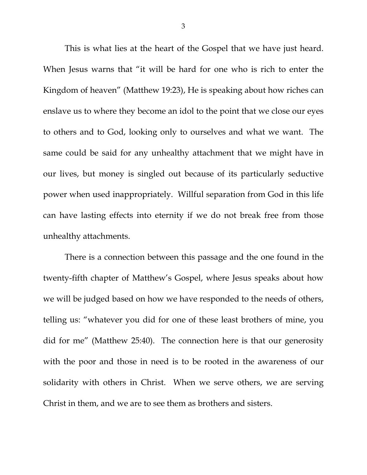This is what lies at the heart of the Gospel that we have just heard. When Jesus warns that "it will be hard for one who is rich to enter the Kingdom of heaven" (Matthew 19:23), He is speaking about how riches can enslave us to where they become an idol to the point that we close our eyes to others and to God, looking only to ourselves and what we want. The same could be said for any unhealthy attachment that we might have in our lives, but money is singled out because of its particularly seductive power when used inappropriately. Willful separation from God in this life can have lasting effects into eternity if we do not break free from those unhealthy attachments.

There is a connection between this passage and the one found in the twenty-fifth chapter of Matthew's Gospel, where Jesus speaks about how we will be judged based on how we have responded to the needs of others, telling us: "whatever you did for one of these least brothers of mine, you did for me" (Matthew 25:40). The connection here is that our generosity with the poor and those in need is to be rooted in the awareness of our solidarity with others in Christ. When we serve others, we are serving Christ in them, and we are to see them as brothers and sisters.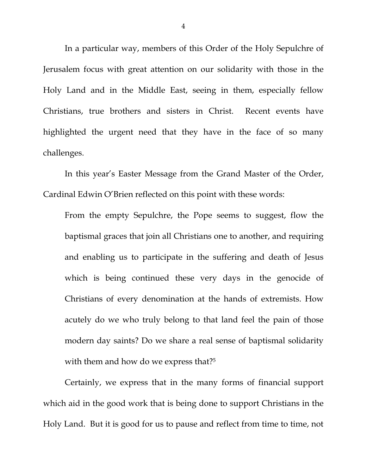In a particular way, members of this Order of the Holy Sepulchre of Jerusalem focus with great attention on our solidarity with those in the Holy Land and in the Middle East, seeing in them, especially fellow Christians, true brothers and sisters in Christ. Recent events have highlighted the urgent need that they have in the face of so many challenges.

In this year's Easter Message from the Grand Master of the Order, Cardinal Edwin O'Brien reflected on this point with these words:

From the empty Sepulchre, the Pope seems to suggest, flow the baptismal graces that join all Christians one to another, and requiring and enabling us to participate in the suffering and death of Jesus which is being continued these very days in the genocide of Christians of every denomination at the hands of extremists. How acutely do we who truly belong to that land feel the pain of those modern day saints? Do we share a real sense of baptismal solidarity with them and how do we express that?<sup>5</sup>

Certainly, we express that in the many forms of financial support which aid in the good work that is being done to support Christians in the Holy Land. But it is good for us to pause and reflect from time to time, not